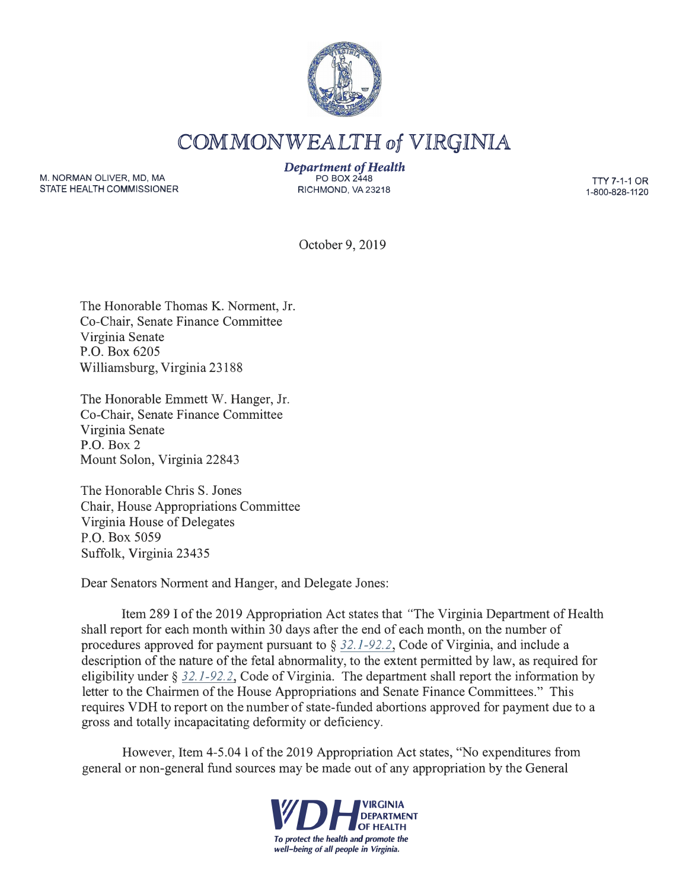

COMMONWEALTH of VIRGINIA

M. NORMAN OLIVER, MD, MA STATE HEALTH COMMISSIONER *Department of Health*  PO BOX 2448 RICHMOND, VA23218

TTY 7-1-1 OR 1-800-828-1120

October 9, 2019

The Honorable Thomas K. Norment, Jr. Co-Chair, Senate Finance Committee Virginia Senate P.O. Box 6205 Williamsburg, Virginia 23188

The Honorable Emmett W. Hanger, Jr. Co-Chair, Senate Finance Committee Virginia Senate P.O. Box 2 Mount Solon, Virginia 22843

The Honorable Chris S. Jones Chair, House Appropriations Committee Virginia House of Delegates P.O. Box 5059 Suffolk, Virginia 23435

Dear Senators Norment and Hanger, and Delegate Jones:

Item 289 I of the 2019 Appropriation Act states that "The Virginia Department of Health shall report for each month within 30 days after the end of each month, on the number of procedures approved for payment pursuant to§ *32.1-92.2,* Code of Virginia, and include a description of the nature of the fetal abnormality, to the extent permitted by law, as required for eligibility under§ *32.1-92.2,* Code of Virginia. The department shall report the information by letter to the Chairmen of the House Appropriations and Senate Finance Committees." This requires VDH to report on the number of state-funded abortions approved for payment due to a gross and totally incapacitating deformity or deficiency.

However, Item 4-5.041 of the 2019 Appropriation Act states, "No expenditures from general or non-general fund sources may be made out of any appropriation by the General